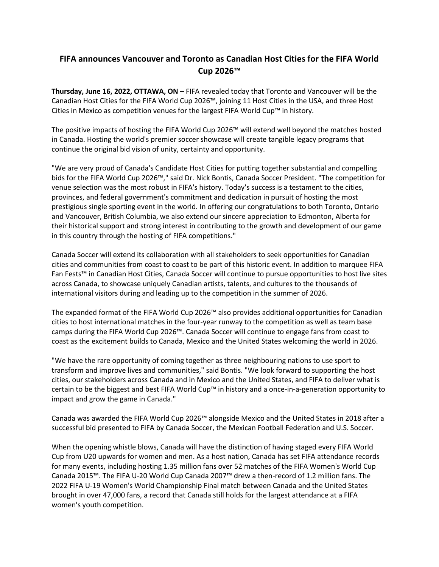## **FIFA announces Vancouver and Toronto as Canadian Host Cities for the FIFA World Cup 2026™**

**Thursday, June 16, 2022, OTTAWA, ON –** FIFA revealed today that Toronto and Vancouver will be the Canadian Host Cities for the FIFA World Cup 2026™, joining 11 Host Cities in the USA, and three Host Cities in Mexico as competition venues for the largest FIFA World Cup™ in history.

The positive impacts of hosting the FIFA World Cup 2026™ will extend well beyond the matches hosted in Canada. Hosting the world's premier soccer showcase will create tangible legacy programs that continue the original bid vision of unity, certainty and opportunity.

"We are very proud of Canada's Candidate Host Cities for putting together substantial and compelling bids for the FIFA World Cup 2026™," said Dr. Nick Bontis, Canada Soccer President. "The competition for venue selection was the most robust in FIFA's history. Today's success is a testament to the cities, provinces, and federal government's commitment and dedication in pursuit of hosting the most prestigious single sporting event in the world. In offering our congratulations to both Toronto, Ontario and Vancouver, British Columbia, we also extend our sincere appreciation to Edmonton, Alberta for their historical support and strong interest in contributing to the growth and development of our game in this country through the hosting of FIFA competitions."

Canada Soccer will extend its collaboration with all stakeholders to seek opportunities for Canadian cities and communities from coast to coast to be part of this historic event. In addition to marquee FIFA Fan Fests™ in Canadian Host Cities, Canada Soccer will continue to pursue opportunities to host live sites across Canada, to showcase uniquely Canadian artists, talents, and cultures to the thousands of international visitors during and leading up to the competition in the summer of 2026.

The expanded format of the FIFA World Cup 2026™ also provides additional opportunities for Canadian cities to host international matches in the four-year runway to the competition as well as team base camps during the FIFA World Cup 2026™. Canada Soccer will continue to engage fans from coast to coast as the excitement builds to Canada, Mexico and the United States welcoming the world in 2026.

"We have the rare opportunity of coming together as three neighbouring nations to use sport to transform and improve lives and communities," said Bontis. "We look forward to supporting the host cities, our stakeholders across Canada and in Mexico and the United States, and FIFA to deliver what is certain to be the biggest and best FIFA World Cup™ in history and a once-in-a-generation opportunity to impact and grow the game in Canada."

Canada was awarded the FIFA World Cup 2026™ alongside Mexico and the United States in 2018 after a successful bid presented to FIFA by Canada Soccer, the Mexican Football Federation and U.S. Soccer.

When the opening whistle blows, Canada will have the distinction of having staged every FIFA World Cup from U20 upwards for women and men. As a host nation, Canada has set FIFA attendance records for many events, including hosting 1.35 million fans over 52 matches of the FIFA Women's World Cup Canada 2015™. The FIFA U-20 World Cup Canada 2007™ drew a then-record of 1.2 million fans. The 2022 FIFA U-19 Women's World Championship Final match between Canada and the United States brought in over 47,000 fans, a record that Canada still holds for the largest attendance at a FIFA women's youth competition.